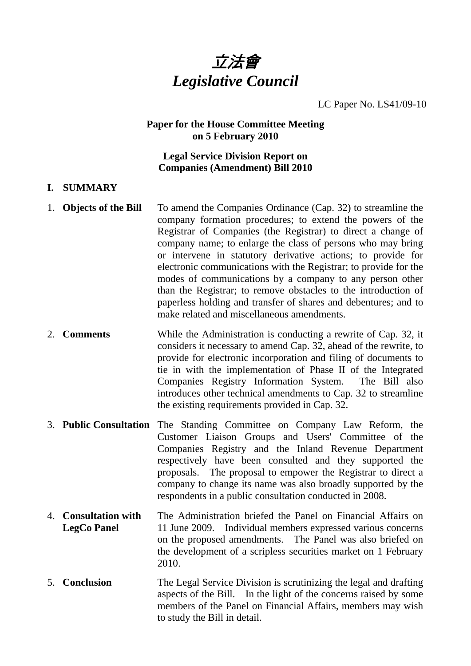

LC Paper No. LS41/09-10

### **Paper for the House Committee Meeting on 5 February 2010**

## **Legal Service Division Report on Companies (Amendment) Bill 2010**

- **I. SUMMARY**
- 1. **Objects of the Bill** To amend the Companies Ordinance (Cap. 32) to streamline the company formation procedures; to extend the powers of the Registrar of Companies (the Registrar) to direct a change of company name; to enlarge the class of persons who may bring or intervene in statutory derivative actions; to provide for electronic communications with the Registrar; to provide for the modes of communications by a company to any person other than the Registrar; to remove obstacles to the introduction of paperless holding and transfer of shares and debentures; and to make related and miscellaneous amendments.
- 2. **Comments** While the Administration is conducting a rewrite of Cap. 32, it considers it necessary to amend Cap. 32, ahead of the rewrite, to provide for electronic incorporation and filing of documents to tie in with the implementation of Phase II of the Integrated Companies Registry Information System. The Bill also introduces other technical amendments to Cap. 32 to streamline the existing requirements provided in Cap. 32.
- 3. **Public Consultation** The Standing Committee on Company Law Reform, the Customer Liaison Groups and Users' Committee of the Companies Registry and the Inland Revenue Department respectively have been consulted and they supported the proposals. The proposal to empower the Registrar to direct a company to change its name was also broadly supported by the respondents in a public consultation conducted in 2008.
- 4. **Consultation with LegCo Panel**  The Administration briefed the Panel on Financial Affairs on 11 June 2009. Individual members expressed various concerns on the proposed amendments. The Panel was also briefed on the development of a scripless securities market on 1 February 2010.
- 5. **Conclusion** The Legal Service Division is scrutinizing the legal and drafting aspects of the Bill. In the light of the concerns raised by some members of the Panel on Financial Affairs, members may wish to study the Bill in detail.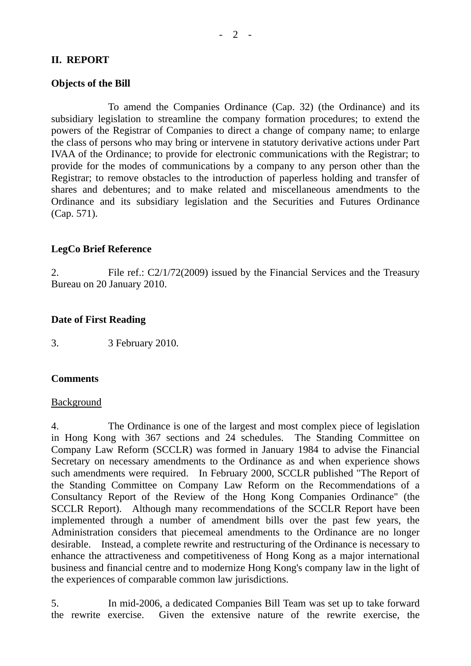#### **II. REPORT**

#### **Objects of the Bill**

 To amend the Companies Ordinance (Cap. 32) (the Ordinance) and its subsidiary legislation to streamline the company formation procedures; to extend the powers of the Registrar of Companies to direct a change of company name; to enlarge the class of persons who may bring or intervene in statutory derivative actions under Part IVAA of the Ordinance; to provide for electronic communications with the Registrar; to provide for the modes of communications by a company to any person other than the Registrar; to remove obstacles to the introduction of paperless holding and transfer of shares and debentures; and to make related and miscellaneous amendments to the Ordinance and its subsidiary legislation and the Securities and Futures Ordinance (Cap. 571).

#### **LegCo Brief Reference**

2. File ref.: C2/1/72(2009) issued by the Financial Services and the Treasury Bureau on 20 January 2010.

#### **Date of First Reading**

3. 3 February 2010.

#### **Comments**

#### Background

4. The Ordinance is one of the largest and most complex piece of legislation in Hong Kong with 367 sections and 24 schedules. The Standing Committee on Company Law Reform (SCCLR) was formed in January 1984 to advise the Financial Secretary on necessary amendments to the Ordinance as and when experience shows such amendments were required. In February 2000, SCCLR published "The Report of the Standing Committee on Company Law Reform on the Recommendations of a Consultancy Report of the Review of the Hong Kong Companies Ordinance" (the SCCLR Report). Although many recommendations of the SCCLR Report have been implemented through a number of amendment bills over the past few years, the Administration considers that piecemeal amendments to the Ordinance are no longer desirable. Instead, a complete rewrite and restructuring of the Ordinance is necessary to enhance the attractiveness and competitiveness of Hong Kong as a major international business and financial centre and to modernize Hong Kong's company law in the light of the experiences of comparable common law jurisdictions.

5. In mid-2006, a dedicated Companies Bill Team was set up to take forward the rewrite exercise. Given the extensive nature of the rewrite exercise, the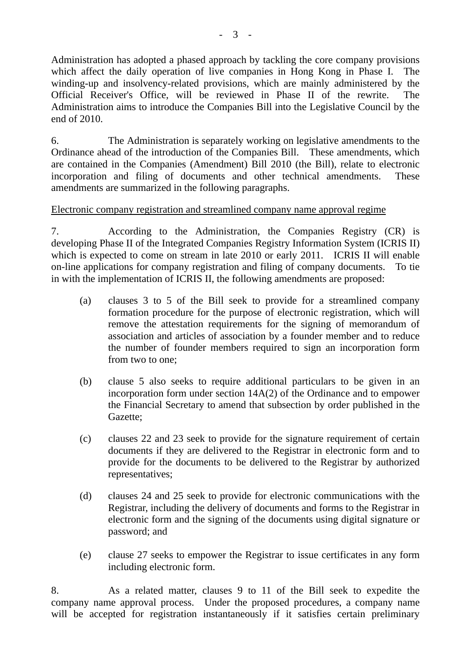Administration has adopted a phased approach by tackling the core company provisions which affect the daily operation of live companies in Hong Kong in Phase I. The winding-up and insolvency-related provisions, which are mainly administered by the Official Receiver's Office, will be reviewed in Phase II of the rewrite. The Administration aims to introduce the Companies Bill into the Legislative Council by the end of 2010.

6. The Administration is separately working on legislative amendments to the Ordinance ahead of the introduction of the Companies Bill. These amendments, which are contained in the Companies (Amendment) Bill 2010 (the Bill), relate to electronic incorporation and filing of documents and other technical amendments. These amendments are summarized in the following paragraphs.

# Electronic company registration and streamlined company name approval regime

7. According to the Administration, the Companies Registry (CR) is developing Phase II of the Integrated Companies Registry Information System (ICRIS II) which is expected to come on stream in late 2010 or early 2011. ICRIS II will enable on-line applications for company registration and filing of company documents. To tie in with the implementation of ICRIS II, the following amendments are proposed:

- (a) clauses 3 to 5 of the Bill seek to provide for a streamlined company formation procedure for the purpose of electronic registration, which will remove the attestation requirements for the signing of memorandum of association and articles of association by a founder member and to reduce the number of founder members required to sign an incorporation form from two to one;
- (b) clause 5 also seeks to require additional particulars to be given in an incorporation form under section 14A(2) of the Ordinance and to empower the Financial Secretary to amend that subsection by order published in the Gazette;
- (c) clauses 22 and 23 seek to provide for the signature requirement of certain documents if they are delivered to the Registrar in electronic form and to provide for the documents to be delivered to the Registrar by authorized representatives;
- (d) clauses 24 and 25 seek to provide for electronic communications with the Registrar, including the delivery of documents and forms to the Registrar in electronic form and the signing of the documents using digital signature or password; and
- (e) clause 27 seeks to empower the Registrar to issue certificates in any form including electronic form.

8. As a related matter, clauses 9 to 11 of the Bill seek to expedite the company name approval process. Under the proposed procedures, a company name will be accepted for registration instantaneously if it satisfies certain preliminary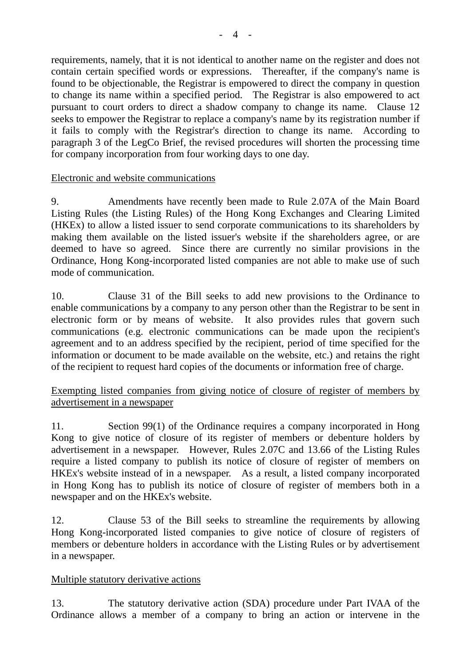requirements, namely, that it is not identical to another name on the register and does not contain certain specified words or expressions. Thereafter, if the company's name is found to be objectionable, the Registrar is empowered to direct the company in question to change its name within a specified period. The Registrar is also empowered to act pursuant to court orders to direct a shadow company to change its name. Clause 12 seeks to empower the Registrar to replace a company's name by its registration number if it fails to comply with the Registrar's direction to change its name. According to paragraph 3 of the LegCo Brief, the revised procedures will shorten the processing time for company incorporation from four working days to one day.

## Electronic and website communications

9. Amendments have recently been made to Rule 2.07A of the Main Board Listing Rules (the Listing Rules) of the Hong Kong Exchanges and Clearing Limited (HKEx) to allow a listed issuer to send corporate communications to its shareholders by making them available on the listed issuer's website if the shareholders agree, or are deemed to have so agreed. Since there are currently no similar provisions in the Ordinance, Hong Kong-incorporated listed companies are not able to make use of such mode of communication.

10. Clause 31 of the Bill seeks to add new provisions to the Ordinance to enable communications by a company to any person other than the Registrar to be sent in electronic form or by means of website. It also provides rules that govern such communications (e.g. electronic communications can be made upon the recipient's agreement and to an address specified by the recipient, period of time specified for the information or document to be made available on the website, etc.) and retains the right of the recipient to request hard copies of the documents or information free of charge.

## Exempting listed companies from giving notice of closure of register of members by advertisement in a newspaper

11. Section 99(1) of the Ordinance requires a company incorporated in Hong Kong to give notice of closure of its register of members or debenture holders by advertisement in a newspaper. However, Rules 2.07C and 13.66 of the Listing Rules require a listed company to publish its notice of closure of register of members on HKEx's website instead of in a newspaper. As a result, a listed company incorporated in Hong Kong has to publish its notice of closure of register of members both in a newspaper and on the HKEx's website.

12. Clause 53 of the Bill seeks to streamline the requirements by allowing Hong Kong-incorporated listed companies to give notice of closure of registers of members or debenture holders in accordance with the Listing Rules or by advertisement in a newspaper.

## Multiple statutory derivative actions

13. The statutory derivative action (SDA) procedure under Part IVAA of the Ordinance allows a member of a company to bring an action or intervene in the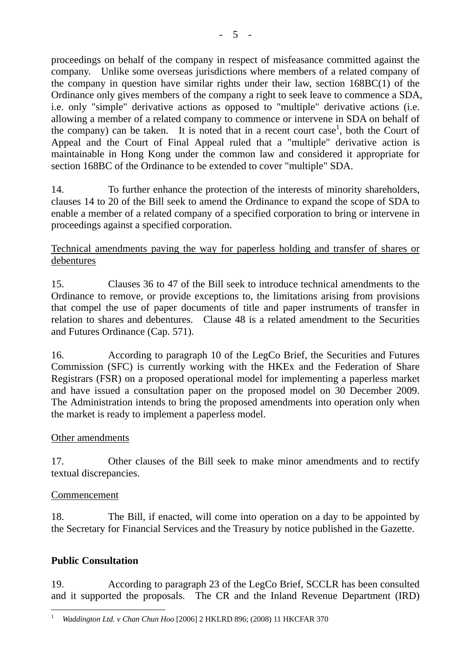proceedings on behalf of the company in respect of misfeasance committed against the company. Unlike some overseas jurisdictions where members of a related company of the company in question have similar rights under their law, section 168BC(1) of the Ordinance only gives members of the company a right to seek leave to commence a SDA, i.e. only "simple" derivative actions as opposed to "multiple" derivative actions (i.e. allowing a member of a related company to commence or intervene in SDA on behalf of the company) can be taken. It is noted that in a recent court case<sup>1</sup>, both the Court of Appeal and the Court of Final Appeal ruled that a "multiple" derivative action is maintainable in Hong Kong under the common law and considered it appropriate for section 168BC of the Ordinance to be extended to cover "multiple" SDA.

14. To further enhance the protection of the interests of minority shareholders, clauses 14 to 20 of the Bill seek to amend the Ordinance to expand the scope of SDA to enable a member of a related company of a specified corporation to bring or intervene in proceedings against a specified corporation.

## Technical amendments paving the way for paperless holding and transfer of shares or debentures

15. Clauses 36 to 47 of the Bill seek to introduce technical amendments to the Ordinance to remove, or provide exceptions to, the limitations arising from provisions that compel the use of paper documents of title and paper instruments of transfer in relation to shares and debentures. Clause 48 is a related amendment to the Securities and Futures Ordinance (Cap. 571).

16. According to paragraph 10 of the LegCo Brief, the Securities and Futures Commission (SFC) is currently working with the HKEx and the Federation of Share Registrars (FSR) on a proposed operational model for implementing a paperless market and have issued a consultation paper on the proposed model on 30 December 2009. The Administration intends to bring the proposed amendments into operation only when the market is ready to implement a paperless model.

# Other amendments

17. Other clauses of the Bill seek to make minor amendments and to rectify textual discrepancies.

# Commencement

18. The Bill, if enacted, will come into operation on a day to be appointed by the Secretary for Financial Services and the Treasury by notice published in the Gazette.

# **Public Consultation**

19. According to paragraph 23 of the LegCo Brief, SCCLR has been consulted and it supported the proposals. The CR and the Inland Revenue Department (IRD)

 $\overline{a}$ <sup>1</sup> *Waddington Ltd. v Chan Chun Hoo* [2006] 2 HKLRD 896; (2008) 11 HKCFAR 370